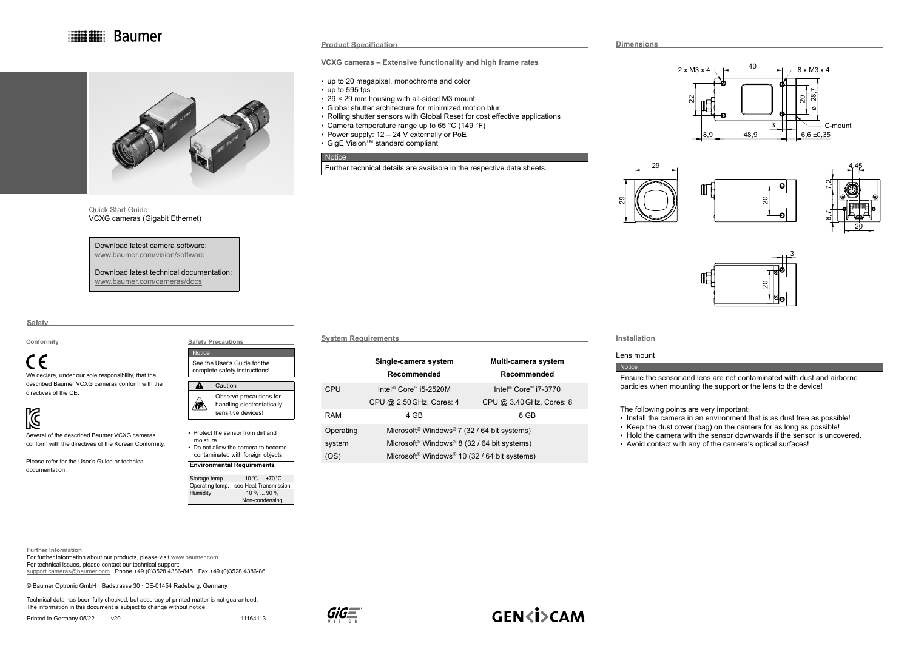**Baumer** 



### Quick Start Guide VCXG cameras (Gigabit Ethernet)

Download latest camera software: [www.baumer.com/vision/software](http://www.baumer.com/vision/software)

Download latest technical documentation: [www.baumer.com/cameras/docs](http://www.baumer.com/cameras/docs)

**Safety**

#### **Conformity**

# ( F

We declare, under our sole responsibility, that the described Baumer VCXG cameras conform with the directives of the CE.

## $\mathbb{Z}$

Several of the described Baumer VCXG cameras conform with the directives of the Korean Conformity.

Please refer for the User's Guide or technical documentation.

#### See the User's Guide for the complete safety instructions! **Caution** - 4 Observe precautions for handling electrostatically ∧∧ sensitive devices!

**Safety Precautions** Notice

▪ Protect the sensor from dirt and moisture. ▪ Do not allow the camera to become contaminated with foreign objects.

#### **Environmental Requirements**

Storage temp.  $-10\degree\text{C} \dots +70\degree\text{C}$ Operating temp. see Heat Transmission<br>Humidity 10%...90% Humidity 10 % ... 90 % Non-condensing

#### **System Requirements**

**Product Specification**

 $\cdot$  up to 595 fps

**Notice** 

**VCXG cameras – Extensive functionality and high frame rates**

▪ Rolling shutter sensors with Global Reset for cost effective applications

Further technical details are available in the respective data sheets.

▪ up to 20 megapixel, monochrome and color

 $\cdot$  29  $\times$  29 mm housing with all-sided M3 mount ▪ Global shutter architecture for minimized motion blur

▪ Camera temperature range up to 65 °C (149 °F) ▪ Power supply: 12 – 24 V externally or PoE ■ GigE Vision<sup>TM</sup> standard compliant

|            | Single-camera system                                                 | Multi-camera system                          |  |  |
|------------|----------------------------------------------------------------------|----------------------------------------------|--|--|
|            | Recommended                                                          | Recommended                                  |  |  |
| CPU        | Intel <sup>®</sup> Core™ i5-2520M                                    | Intel <sup>®</sup> Core <sup>™</sup> i7-3770 |  |  |
|            | CPU @ 2.50 GHz, Cores: 4                                             | CPU @ 3.40 GHz, Cores: 8                     |  |  |
| <b>RAM</b> | 4 GB                                                                 | 8 GB                                         |  |  |
| Operating  | Microsoft <sup>®</sup> Windows®7 (32 / 64 bit systems)               |                                              |  |  |
| system     | Microsoft <sup>®</sup> Windows <sup>®</sup> 8 (32 / 64 bit systems)  |                                              |  |  |
| (OS)       | Microsoft <sup>®</sup> Windows <sup>®</sup> 10 (32 / 64 bit systems) |                                              |  |  |

| $\sqrt{2}$ |
|------------|
|            |
|            |
|            |
|            |

**Dimensions**

#### **Installation**

#### Lens mount

#### **Notice**

Ensure the sensor and lens are not contaminated with dust and airborne particles when mounting the support or the lens to the device!

The following points are very important:

- Install the camera in an environment that is as dust free as possible!
- Keep the dust cover (bag) on the camera for as long as possible!
- Hold the camera with the sensor downwards if the sensor is uncovered.
- Avoid contact with any of the camera's optical surfaces!

#### **Further Information**

For further information about our products, please visit [www.baumer.com](http://www.baumer.com)

For technical issues, please contact our technical support:

[support.cameras@baumer.com](mailto:support.cameras%40baumer.com?subject=) · Phone +49 (0)3528 4386-845 · Fax +49 (0)3528 4386-86

© Baumer Optronic GmbH · Badstrasse 30 · DE-01454 Radeberg, Germany

Technical data has been fully checked, but accuracy of printed matter is not guaranteed. The information in this document is subject to change without notice.

Printed in Germany 05/22. v20 11164113



**GEN<i>CAM** 

#### 28,7  $\approx$ ನ 40 C-mount  $489$   $8,6+0,35$ 3  $2 \times M3 \times 4 \rightarrow 40 \rightarrow 8 \times M3 \times 4$ ø